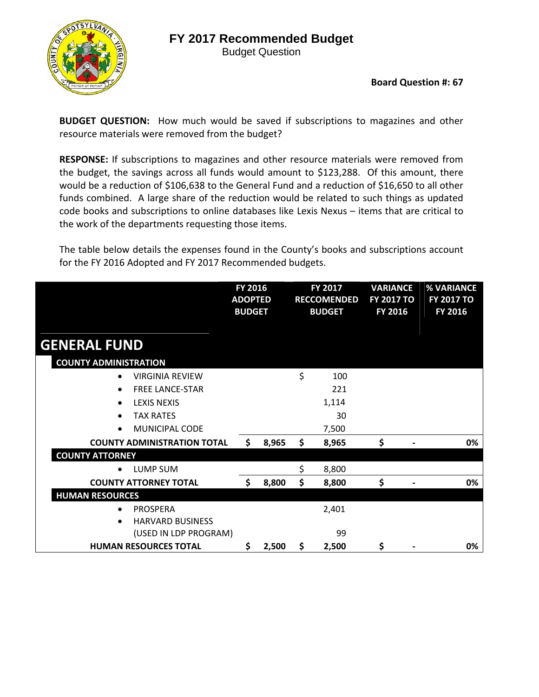

Budget Question

#### **Board Question #: 67**

**BUDGET QUESTION:** How much would be saved if subscriptions to magazines and other resource materials were removed from the budget?

**RESPONSE:** If subscriptions to magazines and other resource materials were removed from the budget, the savings across all funds would amount to \$123,288. Of this amount, there would be a reduction of \$106,638 to the General Fund and a reduction of \$16,650 to all other funds combined. A large share of the reduction would be related to such things as updated code books and subscriptions to online databases like Lexis Nexus – items that are critical to the work of the departments requesting those items.

The table below details the expenses found in the County's books and subscriptions account for the FY 2016 Adopted and FY 2017 Recommended budgets.

|                                      | FY 2016<br><b>ADOPTED</b><br><b>BUDGET</b> |       | FY 2017<br><b>RECCOMENDED</b><br><b>BUDGET</b> | <b>VARIANCE</b><br><b>FY 2017 TO</b><br>FY 2016 | % VARIANCE<br><b>FY 2017 TO</b><br>FY 2016 |
|--------------------------------------|--------------------------------------------|-------|------------------------------------------------|-------------------------------------------------|--------------------------------------------|
| <b>GENERAL FUND</b>                  |                                            |       |                                                |                                                 |                                            |
| <b>COUNTY ADMINISTRATION</b>         |                                            |       |                                                |                                                 |                                            |
| <b>VIRGINIA REVIEW</b><br>$\bullet$  |                                            |       | \$<br>100                                      |                                                 |                                            |
| <b>FREE LANCE-STAR</b><br>$\bullet$  |                                            |       | 221                                            |                                                 |                                            |
| <b>LEXIS NEXIS</b><br>$\bullet$      |                                            |       | 1,114                                          |                                                 |                                            |
| <b>TAX RATES</b><br>$\bullet$        |                                            |       | 30                                             |                                                 |                                            |
| <b>MUNICIPAL CODE</b><br>$\bullet$   |                                            |       | 7,500                                          |                                                 |                                            |
| <b>COUNTY ADMINISTRATION TOTAL</b>   | \$                                         | 8,965 | \$<br>8,965                                    | \$                                              | 0%                                         |
| <b>COUNTY ATTORNEY</b>               |                                            |       |                                                |                                                 |                                            |
| <b>LUMP SUM</b>                      |                                            |       | \$<br>8,800                                    |                                                 |                                            |
| <b>COUNTY ATTORNEY TOTAL</b>         | \$                                         | 8,800 | \$<br>8,800                                    | \$                                              | 0%                                         |
| <b>HUMAN RESOURCES</b>               |                                            |       |                                                |                                                 |                                            |
| <b>PROSPERA</b>                      |                                            |       | 2,401                                          |                                                 |                                            |
| <b>HARVARD BUSINESS</b><br>$\bullet$ |                                            |       |                                                |                                                 |                                            |
| (USED IN LDP PROGRAM)                |                                            |       | 99                                             |                                                 |                                            |
| <b>HUMAN RESOURCES TOTAL</b>         | \$                                         | 2,500 | \$<br>2,500                                    | \$                                              | 0%                                         |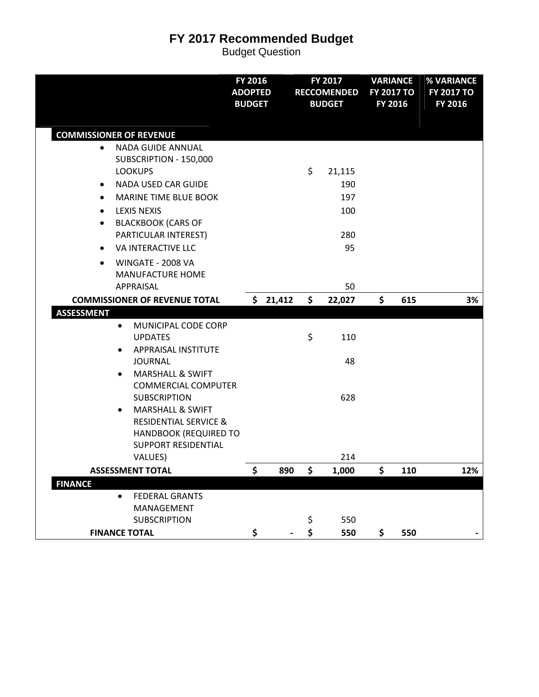|                                                                                                                                                                                                                                                                                                                                                                        | FY 2016<br><b>ADOPTED</b><br><b>BUDGET</b> |          | FY 2017<br><b>RECCOMENDED</b><br><b>BUDGET</b> | <b>VARIANCE</b><br><b>FY 2017 TO</b><br>FY 2016 |     | % VARIANCE<br><b>FY 2017 TO</b><br>FY 2016 |
|------------------------------------------------------------------------------------------------------------------------------------------------------------------------------------------------------------------------------------------------------------------------------------------------------------------------------------------------------------------------|--------------------------------------------|----------|------------------------------------------------|-------------------------------------------------|-----|--------------------------------------------|
| <b>COMMISSIONER OF REVENUE</b>                                                                                                                                                                                                                                                                                                                                         |                                            |          |                                                |                                                 |     |                                            |
| <b>NADA GUIDE ANNUAL</b><br>$\bullet$<br>SUBSCRIPTION - 150,000<br><b>LOOKUPS</b><br><b>NADA USED CAR GUIDE</b><br>٠<br><b>MARINE TIME BLUE BOOK</b><br>$\bullet$<br><b>LEXIS NEXIS</b><br>$\bullet$<br><b>BLACKBOOK (CARS OF</b><br>$\bullet$<br>PARTICULAR INTEREST)<br>VA INTERACTIVE LLC<br>$\bullet$<br>WINGATE - 2008 VA<br>$\bullet$<br><b>MANUFACTURE HOME</b> |                                            |          | \$<br>21,115<br>190<br>197<br>100<br>280<br>95 |                                                 |     |                                            |
| APPRAISAL                                                                                                                                                                                                                                                                                                                                                              |                                            |          | 50                                             |                                                 |     |                                            |
| <b>COMMISSIONER OF REVENUE TOTAL</b>                                                                                                                                                                                                                                                                                                                                   |                                            | \$21,412 | \$<br>22,027                                   | \$                                              | 615 | 3%                                         |
| <b>ASSESSMENT</b><br>MUNICIPAL CODE CORP<br>$\bullet$<br><b>UPDATES</b><br>APPRAISAL INSTITUTE<br>$\bullet$<br><b>JOURNAL</b>                                                                                                                                                                                                                                          |                                            |          | \$<br>110<br>48                                |                                                 |     |                                            |
| <b>MARSHALL &amp; SWIFT</b><br>$\bullet$<br><b>COMMERCIAL COMPUTER</b><br><b>SUBSCRIPTION</b><br><b>MARSHALL &amp; SWIFT</b><br>$\bullet$<br><b>RESIDENTIAL SERVICE &amp;</b><br><b>HANDBOOK (REQUIRED TO</b><br><b>SUPPORT RESIDENTIAL</b>                                                                                                                            |                                            |          | 628<br>214                                     |                                                 |     |                                            |
| VALUES)<br><b>ASSESSMENT TOTAL</b>                                                                                                                                                                                                                                                                                                                                     | \$                                         | 890      | \$<br>1,000                                    | \$                                              | 110 | 12%                                        |
| <b>FINANCE</b>                                                                                                                                                                                                                                                                                                                                                         |                                            |          |                                                |                                                 |     |                                            |
| <b>FEDERAL GRANTS</b><br>$\bullet$<br>MANAGEMENT<br><b>SUBSCRIPTION</b>                                                                                                                                                                                                                                                                                                |                                            |          | \$<br>550                                      |                                                 |     |                                            |
| <b>FINANCE TOTAL</b>                                                                                                                                                                                                                                                                                                                                                   | \$                                         |          | \$<br>550                                      | \$                                              | 550 |                                            |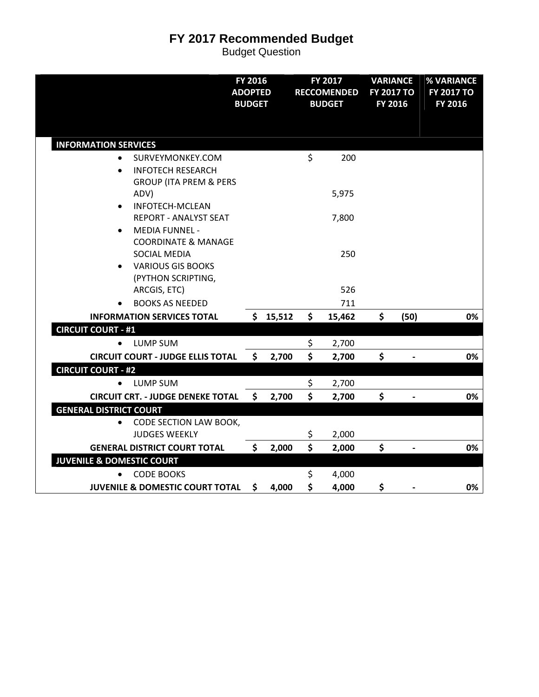|                                                                                                                   | FY 2016<br><b>ADOPTED</b><br><b>BUDGET</b> |        | FY 2017<br><b>RECCOMENDED</b><br><b>BUDGET</b> | <b>VARIANCE</b><br><b>FY 2017 TO</b><br>FY 2016 |      | % VARIANCE<br><b>FY 2017 TO</b><br>FY 2016 |
|-------------------------------------------------------------------------------------------------------------------|--------------------------------------------|--------|------------------------------------------------|-------------------------------------------------|------|--------------------------------------------|
| <b>INFORMATION SERVICES</b>                                                                                       |                                            |        |                                                |                                                 |      |                                            |
| SURVEYMONKEY.COM<br><b>INFOTECH RESEARCH</b><br><b>GROUP (ITA PREM &amp; PERS</b>                                 |                                            |        | \$<br>200                                      |                                                 |      |                                            |
| ADV)                                                                                                              |                                            |        | 5,975                                          |                                                 |      |                                            |
| <b>INFOTECH-MCLEAN</b><br><b>REPORT - ANALYST SEAT</b><br><b>MEDIA FUNNEL -</b><br><b>COORDINATE &amp; MANAGE</b> |                                            |        | 7,800                                          |                                                 |      |                                            |
| <b>SOCIAL MEDIA</b><br><b>VARIOUS GIS BOOKS</b><br>(PYTHON SCRIPTING,                                             |                                            |        | 250<br>526                                     |                                                 |      |                                            |
| ARCGIS, ETC)<br><b>BOOKS AS NEEDED</b>                                                                            |                                            |        | 711                                            |                                                 |      |                                            |
| <b>INFORMATION SERVICES TOTAL</b>                                                                                 | \$                                         | 15,512 | \$<br>15,462                                   | \$                                              | (50) | 0%                                         |
| <b>CIRCUIT COURT - #1</b>                                                                                         |                                            |        |                                                |                                                 |      |                                            |
| LUMP SUM                                                                                                          |                                            |        | \$<br>2,700                                    |                                                 |      |                                            |
| <b>CIRCUIT COURT - JUDGE ELLIS TOTAL</b>                                                                          | \$                                         | 2,700  | \$<br>2,700                                    | \$                                              |      | 0%                                         |
| <b>CIRCUIT COURT - #2</b>                                                                                         |                                            |        |                                                |                                                 |      |                                            |
| <b>LUMP SUM</b>                                                                                                   |                                            |        | \$<br>2,700                                    |                                                 |      |                                            |
| <b>CIRCUIT CRT. - JUDGE DENEKE TOTAL</b>                                                                          | \$                                         | 2,700  | \$<br>2,700                                    | \$                                              |      | 0%                                         |
| <b>GENERAL DISTRICT COURT</b>                                                                                     |                                            |        |                                                |                                                 |      |                                            |
| CODE SECTION LAW BOOK,<br>$\bullet$<br><b>JUDGES WEEKLY</b>                                                       |                                            |        | \$<br>2,000                                    |                                                 |      |                                            |
| <b>GENERAL DISTRICT COURT TOTAL</b>                                                                               | \$                                         | 2,000  | \$<br>2,000                                    | \$                                              |      | 0%                                         |
| <b>JUVENILE &amp; DOMESTIC COURT</b>                                                                              |                                            |        |                                                |                                                 |      |                                            |
| <b>CODE BOOKS</b>                                                                                                 |                                            |        | \$<br>4,000                                    |                                                 |      |                                            |
| <b>JUVENILE &amp; DOMESTIC COURT TOTAL</b>                                                                        | \$                                         | 4,000  | \$<br>4,000                                    | \$                                              |      | 0%                                         |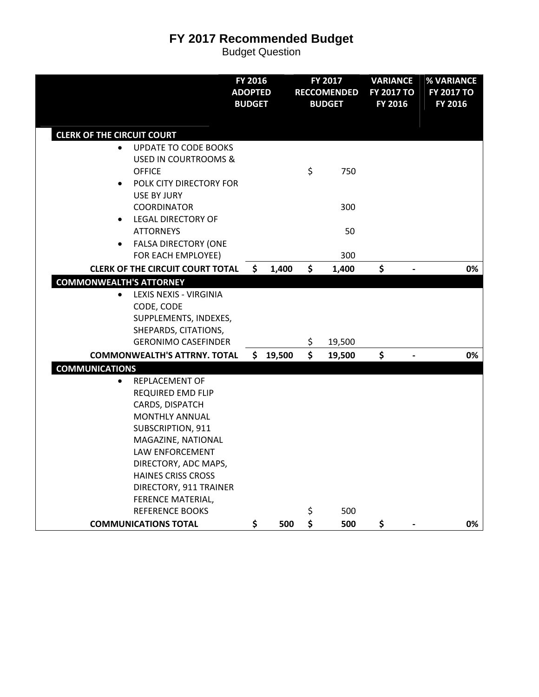|                                                                                                                                                                                                                                                                                                                          | FY 2016<br><b>ADOPTED</b><br><b>BUDGET</b> |          | FY 2017<br><b>RECCOMENDED</b><br><b>BUDGET</b> | <b>VARIANCE</b><br><b>FY 2017 TO</b><br>FY 2016 | % VARIANCE<br><b>FY 2017 TO</b><br>FY 2016 |
|--------------------------------------------------------------------------------------------------------------------------------------------------------------------------------------------------------------------------------------------------------------------------------------------------------------------------|--------------------------------------------|----------|------------------------------------------------|-------------------------------------------------|--------------------------------------------|
| <b>CLERK OF THE CIRCUIT COURT</b>                                                                                                                                                                                                                                                                                        |                                            |          |                                                |                                                 |                                            |
| <b>UPDATE TO CODE BOOKS</b><br>$\bullet$<br><b>USED IN COURTROOMS &amp;</b><br><b>OFFICE</b><br>POLK CITY DIRECTORY FOR<br>$\bullet$<br><b>USE BY JURY</b>                                                                                                                                                               |                                            |          | \$<br>750                                      |                                                 |                                            |
| <b>COORDINATOR</b><br><b>LEGAL DIRECTORY OF</b><br>$\bullet$<br><b>ATTORNEYS</b><br><b>FALSA DIRECTORY (ONE</b><br>$\bullet$                                                                                                                                                                                             |                                            |          | 300<br>50                                      |                                                 |                                            |
| FOR EACH EMPLOYEE)                                                                                                                                                                                                                                                                                                       |                                            |          | 300                                            |                                                 |                                            |
| <b>CLERK OF THE CIRCUIT COURT TOTAL</b><br><b>COMMONWEALTH'S ATTORNEY</b>                                                                                                                                                                                                                                                | \$                                         | 1,400    | \$<br>1,400                                    | \$                                              | 0%                                         |
| LEXIS NEXIS - VIRGINIA<br>$\bullet$<br>CODE, CODE<br>SUPPLEMENTS, INDEXES,<br>SHEPARDS, CITATIONS,<br><b>GERONIMO CASEFINDER</b>                                                                                                                                                                                         |                                            |          | \$<br>19,500                                   |                                                 |                                            |
| <b>COMMONWEALTH'S ATTRNY. TOTAL</b>                                                                                                                                                                                                                                                                                      |                                            | \$19,500 | \$<br>19,500                                   | \$                                              | 0%                                         |
| <b>COMMUNICATIONS</b><br>REPLACEMENT OF<br>$\bullet$<br><b>REQUIRED EMD FLIP</b><br>CARDS, DISPATCH<br><b>MONTHLY ANNUAL</b><br>SUBSCRIPTION, 911<br>MAGAZINE, NATIONAL<br>LAW ENFORCEMENT<br>DIRECTORY, ADC MAPS,<br><b>HAINES CRISS CROSS</b><br>DIRECTORY, 911 TRAINER<br>FERENCE MATERIAL,<br><b>REFERENCE BOOKS</b> |                                            |          | \$<br>500                                      |                                                 |                                            |
| <b>COMMUNICATIONS TOTAL</b>                                                                                                                                                                                                                                                                                              | \$                                         | 500      | \$<br>500                                      | \$                                              | 0%                                         |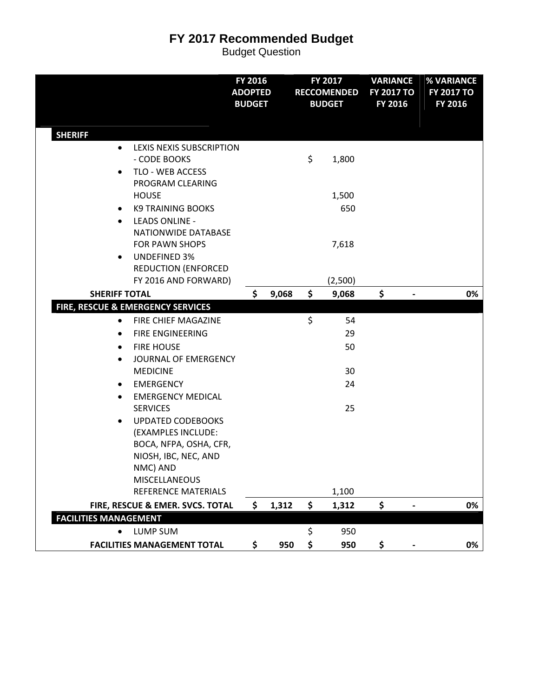|                                                                                                                                                                                                                                                                                                                                                                                                                                                                  | FY 2016<br><b>ADOPTED</b><br><b>BUDGET</b> |       |          | FY 2017<br><b>RECCOMENDED</b><br><b>BUDGET</b> | <b>VARIANCE</b><br><b>FY 2017 TO</b><br>FY 2016 | % VARIANCE<br><b>FY 2017 TO</b><br>FY 2016 |
|------------------------------------------------------------------------------------------------------------------------------------------------------------------------------------------------------------------------------------------------------------------------------------------------------------------------------------------------------------------------------------------------------------------------------------------------------------------|--------------------------------------------|-------|----------|------------------------------------------------|-------------------------------------------------|--------------------------------------------|
| <b>SHERIFF</b><br>LEXIS NEXIS SUBSCRIPTION<br>٠<br>- CODE BOOKS<br>TLO - WEB ACCESS<br>$\bullet$<br>PROGRAM CLEARING                                                                                                                                                                                                                                                                                                                                             |                                            |       | \$       | 1,800                                          |                                                 |                                            |
| <b>HOUSE</b><br><b>K9 TRAINING BOOKS</b><br>٠<br><b>LEADS ONLINE -</b><br>$\bullet$<br>NATIONWIDE DATABASE                                                                                                                                                                                                                                                                                                                                                       |                                            |       |          | 1,500<br>650                                   |                                                 |                                            |
| <b>FOR PAWN SHOPS</b><br><b>UNDEFINED 3%</b><br>٠<br><b>REDUCTION (ENFORCED</b><br>FY 2016 AND FORWARD)                                                                                                                                                                                                                                                                                                                                                          |                                            |       |          | 7,618<br>(2,500)                               |                                                 |                                            |
| <b>SHERIFF TOTAL</b>                                                                                                                                                                                                                                                                                                                                                                                                                                             | \$                                         | 9,068 | \$       | 9,068                                          | \$                                              | 0%                                         |
| FIRE, RESCUE & EMERGENCY SERVICES<br>FIRE CHIEF MAGAZINE<br>٠<br><b>FIRE ENGINEERING</b><br>$\bullet$<br><b>FIRE HOUSE</b><br>$\bullet$<br>JOURNAL OF EMERGENCY<br>$\bullet$<br><b>MEDICINE</b><br><b>EMERGENCY</b><br>٠<br><b>EMERGENCY MEDICAL</b><br>$\bullet$<br><b>SERVICES</b><br><b>UPDATED CODEBOOKS</b><br>$\bullet$<br>(EXAMPLES INCLUDE:<br>BOCA, NFPA, OSHA, CFR,<br>NIOSH, IBC, NEC, AND<br>NMC) AND<br>MISCELLANEOUS<br><b>REFERENCE MATERIALS</b> |                                            |       | \$       | 54<br>29<br>50<br>30<br>24<br>25<br>1,100      |                                                 |                                            |
| FIRE, RESCUE & EMER. SVCS. TOTAL                                                                                                                                                                                                                                                                                                                                                                                                                                 | \$                                         | 1,312 | \$       | 1,312                                          | \$                                              | 0%                                         |
| <b>FACILITIES MANAGEMENT</b>                                                                                                                                                                                                                                                                                                                                                                                                                                     |                                            |       |          |                                                |                                                 |                                            |
| <b>LUMP SUM</b><br>$\bullet$<br><b>FACILITIES MANAGEMENT TOTAL</b>                                                                                                                                                                                                                                                                                                                                                                                               | \$                                         | 950   | \$<br>\$ | 950<br>950                                     | \$                                              | 0%                                         |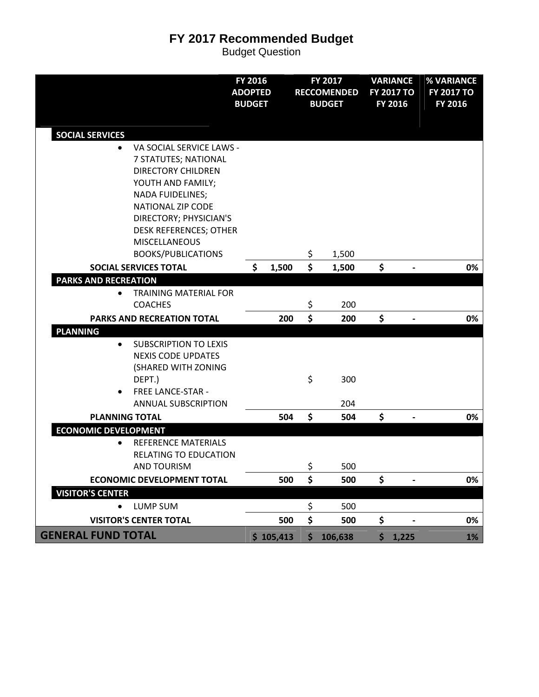|                                                                                                                                                                                                                                   | FY 2016<br><b>ADOPTED</b><br><b>BUDGET</b> |           | FY 2017<br><b>RECCOMENDED</b><br><b>BUDGET</b> | <b>VARIANCE</b><br><b>FY 2017 TO</b><br>FY 2016 | % VARIANCE<br><b>FY 2017 TO</b><br><b>FY 2016</b> |           |
|-----------------------------------------------------------------------------------------------------------------------------------------------------------------------------------------------------------------------------------|--------------------------------------------|-----------|------------------------------------------------|-------------------------------------------------|---------------------------------------------------|-----------|
| <b>SOCIAL SERVICES</b>                                                                                                                                                                                                            |                                            |           |                                                |                                                 |                                                   |           |
| VA SOCIAL SERVICE LAWS -<br>$\bullet$<br>7 STATUTES; NATIONAL<br><b>DIRECTORY CHILDREN</b><br>YOUTH AND FAMILY;<br><b>NADA FUIDELINES;</b><br><b>NATIONAL ZIP CODE</b><br>DIRECTORY; PHYSICIAN'S<br><b>DESK REFERENCES; OTHER</b> |                                            |           |                                                |                                                 |                                                   |           |
| <b>MISCELLANEOUS</b><br><b>BOOKS/PUBLICATIONS</b>                                                                                                                                                                                 |                                            |           | \$<br>1,500                                    |                                                 |                                                   |           |
| <b>SOCIAL SERVICES TOTAL</b>                                                                                                                                                                                                      | \$                                         | 1,500     | \$<br>1,500                                    | \$                                              |                                                   | 0%        |
| <b>PARKS AND RECREATION</b><br><b>TRAINING MATERIAL FOR</b><br>$\bullet$<br><b>COACHES</b>                                                                                                                                        |                                            |           | \$<br>200                                      |                                                 |                                                   |           |
| PARKS AND RECREATION TOTAL                                                                                                                                                                                                        |                                            | 200       | \$<br>200                                      | \$                                              |                                                   | 0%        |
| <b>PLANNING</b>                                                                                                                                                                                                                   |                                            |           |                                                |                                                 |                                                   |           |
| <b>SUBSCRIPTION TO LEXIS</b><br>$\bullet$<br><b>NEXIS CODE UPDATES</b><br>(SHARED WITH ZONING<br>DEPT.)<br><b>FREE LANCE-STAR -</b><br>$\bullet$<br><b>ANNUAL SUBSCRIPTION</b>                                                    |                                            |           | \$<br>300<br>204                               |                                                 |                                                   |           |
| <b>PLANNING TOTAL</b>                                                                                                                                                                                                             |                                            | 504       | \$<br>504                                      | \$                                              | $\qquad \qquad \blacksquare$                      | 0%        |
| <b>ECONOMIC DEVELOPMENT</b><br>REFERENCE MATERIALS<br>$\bullet$<br><b>RELATING TO EDUCATION</b><br>AND TOURISM                                                                                                                    |                                            |           | \$<br>500                                      |                                                 |                                                   |           |
| <b>ECONOMIC DEVELOPMENT TOTAL</b>                                                                                                                                                                                                 |                                            | 500       | \$<br>500                                      | \$                                              |                                                   | 0%        |
| <b>VISITOR'S CENTER</b><br><b>LUMP SUM</b>                                                                                                                                                                                        |                                            |           | \$<br>500                                      |                                                 |                                                   |           |
| <b>VISITOR'S CENTER TOTAL</b>                                                                                                                                                                                                     |                                            | 500       | \$<br>500                                      | \$                                              |                                                   | 0%        |
| <b>GENERAL FUND TOTAL</b>                                                                                                                                                                                                         |                                            | \$105,413 | \$<br>106,638                                  | \$1,225                                         |                                                   | <b>1%</b> |